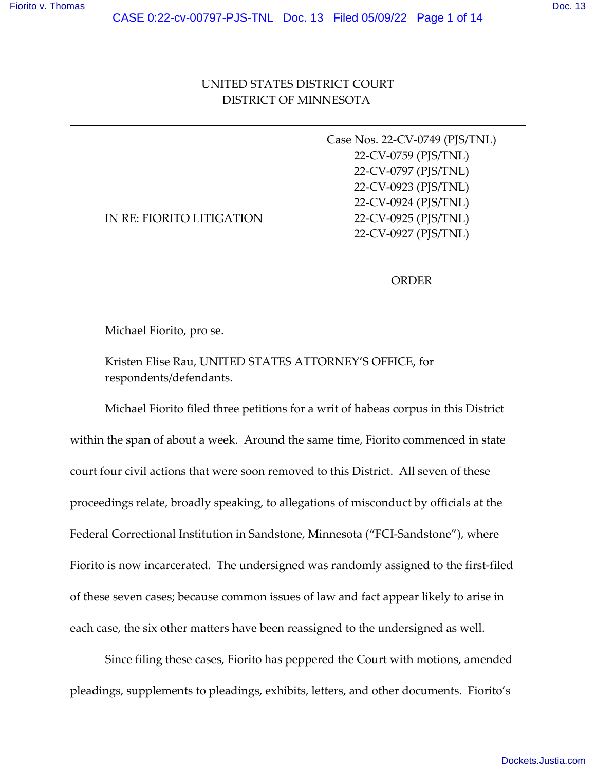# UNITED STATES DISTRICT COURT DISTRICT OF MINNESOTA

|                           | Case Nos. 22-CV-0749 (PJS/TNL) |
|---------------------------|--------------------------------|
|                           | 22-CV-0759 (PJS/TNL)           |
|                           | 22-CV-0797 (PJS/TNL)           |
|                           | 22-CV-0923 (PJS/TNL)           |
|                           | 22-CV-0924 (PJS/TNL)           |
| IN RE: FIORITO LITIGATION | 22-CV-0925 (PJS/TNL)           |
|                           | 22-CV-0927 (PJS/TNL)           |
|                           |                                |

ORDER

Michael Fiorito, pro se.

Kristen Elise Rau, UNITED STATES ATTORNEY'S OFFICE, for respondents/defendants.

Michael Fiorito filed three petitions for a writ of habeas corpus in this District within the span of about a week. Around the same time, Fiorito commenced in state court four civil actions that were soon removed to this District. All seven of these proceedings relate, broadly speaking, to allegations of misconduct by officials at the Federal Correctional Institution in Sandstone, Minnesota ("FCI-Sandstone"), where Fiorito is now incarcerated. The undersigned was randomly assigned to the first-filed of these seven cases; because common issues of law and fact appear likely to arise in each case, the six other matters have been reassigned to the undersigned as well.

Since filing these cases, Fiorito has peppered the Court with motions, amended pleadings, supplements to pleadings, exhibits, letters, and other documents. Fiorito's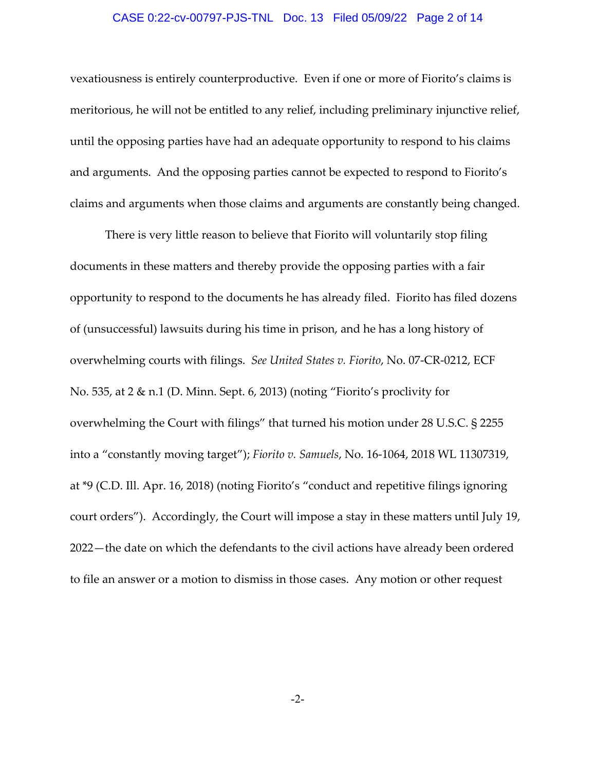## CASE 0:22-cv-00797-PJS-TNL Doc. 13 Filed 05/09/22 Page 2 of 14

vexatiousness is entirely counterproductive. Even if one or more of Fiorito's claims is meritorious, he will not be entitled to any relief, including preliminary injunctive relief, until the opposing parties have had an adequate opportunity to respond to his claims and arguments. And the opposing parties cannot be expected to respond to Fiorito's claims and arguments when those claims and arguments are constantly being changed.

There is very little reason to believe that Fiorito will voluntarily stop filing documents in these matters and thereby provide the opposing parties with a fair opportunity to respond to the documents he has already filed. Fiorito has filed dozens of (unsuccessful) lawsuits during his time in prison, and he has a long history of overwhelming courts with filings. *See United States v. Fiorito*, No. 07‐CR‐0212, ECF No. 535, at 2 & n.1 (D. Minn. Sept. 6, 2013) (noting "Fiorito's proclivity for overwhelming the Court with filings" that turned his motion under 28 U.S.C. § 2255 into a "constantly moving target"); *Fiorito v. Samuels*, No. 16‐1064, 2018 WL 11307319, at \*9 (C.D. Ill. Apr. 16, 2018) (noting Fiorito's "conduct and repetitive filings ignoring court orders"). Accordingly, the Court will impose a stay in these matters until July 19, 2022—the date on which the defendants to the civil actions have already been ordered to file an answer or a motion to dismiss in those cases. Any motion or other request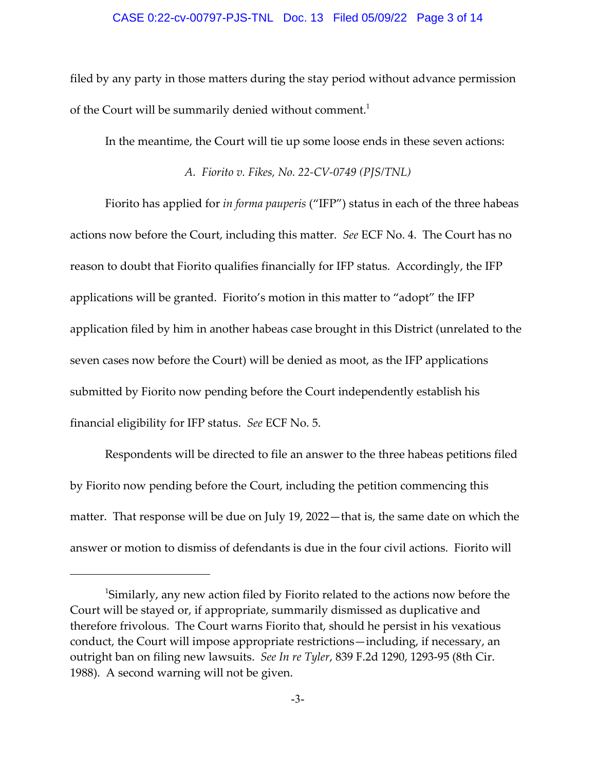### CASE 0:22-cv-00797-PJS-TNL Doc. 13 Filed 05/09/22 Page 3 of 14

filed by any party in those matters during the stay period without advance permission of the Court will be summarily denied without comment.<sup>1</sup>

In the meantime, the Court will tie up some loose ends in these seven actions:

*A. Fiorito v. Fikes, No. 22‐CV‐0749 (PJS/TNL)*

Fiorito has applied for *in forma pauperis* ("IFP") status in each of the three habeas actions now before the Court, including this matter. *See* ECF No. 4. The Court has no reason to doubt that Fiorito qualifies financially for IFP status. Accordingly, the IFP applications will be granted. Fiorito's motion in this matter to "adopt" the IFP application filed by him in another habeas case brought in this District (unrelated to the seven cases now before the Court) will be denied as moot, as the IFP applications submitted by Fiorito now pending before the Court independently establish his financial eligibility for IFP status. *See* ECF No. 5.

Respondents will be directed to file an answer to the three habeas petitions filed by Fiorito now pending before the Court, including the petition commencing this matter. That response will be due on July 19, 2022—that is, the same date on which the answer or motion to dismiss of defendants is due in the four civil actions. Fiorito will

<sup>&</sup>lt;sup>1</sup>Similarly, any new action filed by Fiorito related to the actions now before the Court will be stayed or, if appropriate, summarily dismissed as duplicative and therefore frivolous. The Court warns Fiorito that, should he persist in his vexatious conduct, the Court will impose appropriate restrictions—including, if necessary, an outright ban on filing new lawsuits. *See In re Tyler*, 839 F.2d 1290, 1293‐95 (8th Cir. 1988). A second warning will not be given.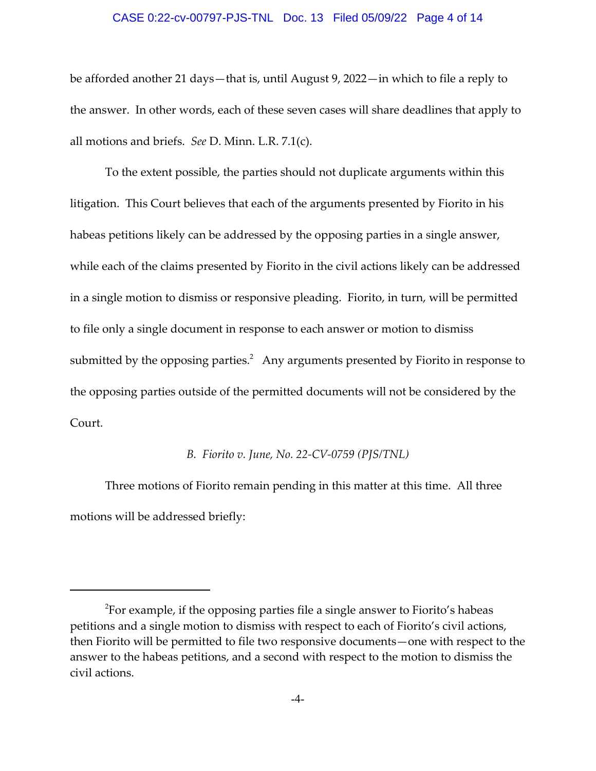### CASE 0:22-cv-00797-PJS-TNL Doc. 13 Filed 05/09/22 Page 4 of 14

be afforded another 21 days—that is, until August 9, 2022—in which to file a reply to the answer. In other words, each of these seven cases will share deadlines that apply to all motions and briefs. *See* D. Minn. L.R. 7.1(c).

To the extent possible, the parties should not duplicate arguments within this litigation. This Court believes that each of the arguments presented by Fiorito in his habeas petitions likely can be addressed by the opposing parties in a single answer, while each of the claims presented by Fiorito in the civil actions likely can be addressed in a single motion to dismiss or responsive pleading. Fiorito, in turn, will be permitted to file only a single document in response to each answer or motion to dismiss submitted by the opposing parties. $^2$  Any arguments presented by Fiorito in response to the opposing parties outside of the permitted documents will not be considered by the Court.

## *B. Fiorito v. June, No. 22‐CV‐0759 (PJS/TNL)*

Three motions of Fiorito remain pending in this matter at this time. All three motions will be addressed briefly:

 $^2$ For example, if the opposing parties file a single answer to Fiorito's habeas petitions and a single motion to dismiss with respect to each of Fiorito's civil actions, then Fiorito will be permitted to file two responsive documents—one with respect to the answer to the habeas petitions, and a second with respect to the motion to dismiss the civil actions.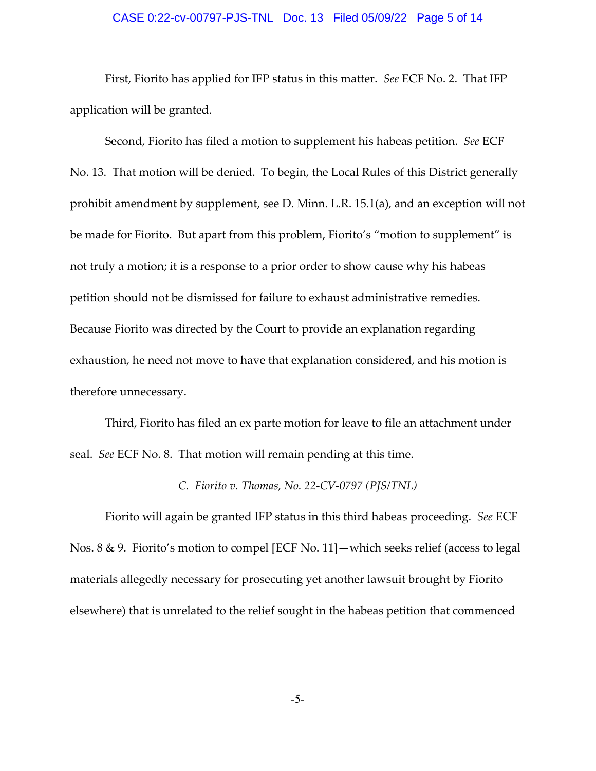# CASE 0:22-cv-00797-PJS-TNL Doc. 13 Filed 05/09/22 Page 5 of 14

First, Fiorito has applied for IFP status in this matter. *See* ECF No. 2. That IFP application will be granted.

Second, Fiorito has filed a motion to supplement his habeas petition. *See* ECF No. 13. That motion will be denied. To begin, the Local Rules of this District generally prohibit amendment by supplement, see D. Minn. L.R. 15.1(a), and an exception will not be made for Fiorito. But apart from this problem, Fiorito's "motion to supplement" is not truly a motion; it is a response to a prior order to show cause why his habeas petition should not be dismissed for failure to exhaust administrative remedies. Because Fiorito was directed by the Court to provide an explanation regarding exhaustion, he need not move to have that explanation considered, and his motion is therefore unnecessary.

Third, Fiorito has filed an ex parte motion for leave to file an attachment under seal. *See* ECF No. 8. That motion will remain pending at this time.

## *C. Fiorito v. Thomas, No. 22‐CV‐0797 (PJS/TNL)*

Fiorito will again be granted IFP status in this third habeas proceeding. *See* ECF Nos. 8 & 9. Fiorito's motion to compel [ECF No. 11]—which seeks relief (access to legal materials allegedly necessary for prosecuting yet another lawsuit brought by Fiorito elsewhere) that is unrelated to the relief sought in the habeas petition that commenced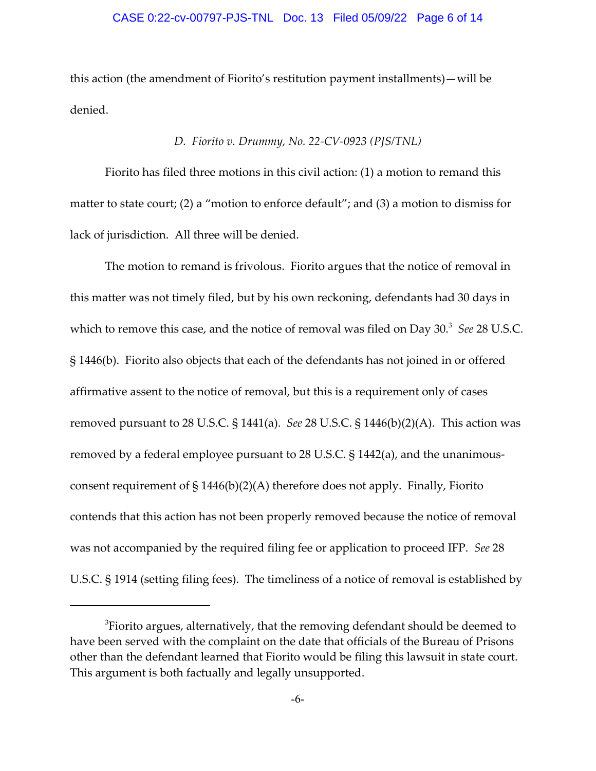## CASE 0:22-cv-00797-PJS-TNL Doc. 13 Filed 05/09/22 Page 6 of 14

this action (the amendment of Fiorito's restitution payment installments)—will be denied.

# *D. Fiorito v. Drummy, No. 22‐CV‐0923 (PJS/TNL)*

Fiorito has filed three motions in this civil action: (1) a motion to remand this matter to state court; (2) a "motion to enforce default"; and (3) a motion to dismiss for lack of jurisdiction. All three will be denied.

The motion to remand is frivolous. Fiorito argues that the notice of removal in this matter was not timely filed, but by his own reckoning, defendants had 30 days in which to remove this case, and the notice of removal was filed on Day 30.<sup>3</sup> See 28 U.S.C. § 1446(b). Fiorito also objects that each of the defendants has not joined in or offered affirmative assent to the notice of removal, but this is a requirement only of cases removed pursuant to 28 U.S.C. § 1441(a). *See* 28 U.S.C. § 1446(b)(2)(A). This action was removed by a federal employee pursuant to 28 U.S.C. § 1442(a), and the unanimous‐ consent requirement of  $\S 1446(b)(2)(A)$  therefore does not apply. Finally, Fiorito contends that this action has not been properly removed because the notice of removal was not accompanied by the required filing fee or application to proceed IFP. *See* 28 U.S.C. § 1914 (setting filing fees). The timeliness of a notice of removal is established by

 ${}^{3}$ Fiorito argues, alternatively, that the removing defendant should be deemed to have been served with the complaint on the date that officials of the Bureau of Prisons other than the defendant learned that Fiorito would be filing this lawsuit in state court. This argument is both factually and legally unsupported.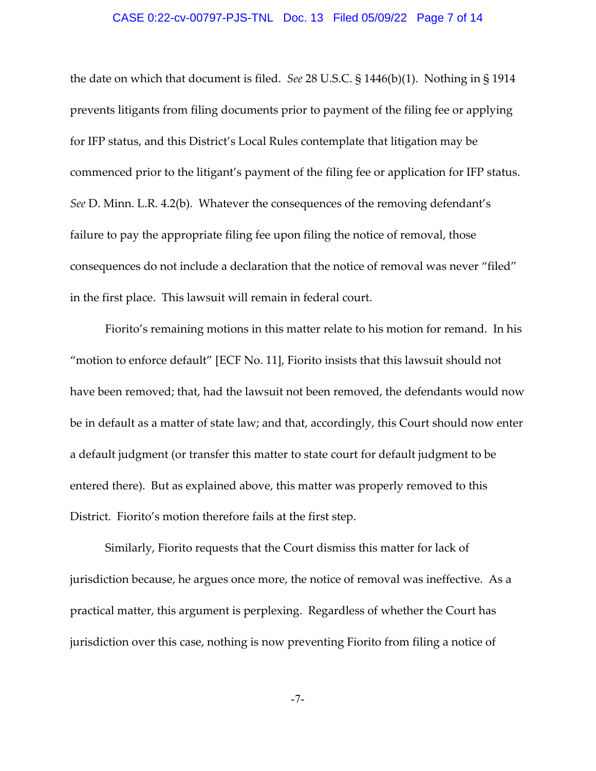## CASE 0:22-cv-00797-PJS-TNL Doc. 13 Filed 05/09/22 Page 7 of 14

the date on which that document is filed. *See* 28 U.S.C. § 1446(b)(1). Nothing in § 1914 prevents litigants from filing documents prior to payment of the filing fee or applying for IFP status, and this District's Local Rules contemplate that litigation may be commenced prior to the litigant's payment of the filing fee or application for IFP status. *See* D. Minn. L.R. 4.2(b). Whatever the consequences of the removing defendant's failure to pay the appropriate filing fee upon filing the notice of removal, those consequences do not include a declaration that the notice of removal was never "filed" in the first place. This lawsuit will remain in federal court.

Fiorito's remaining motions in this matter relate to his motion for remand. In his "motion to enforce default" [ECF No. 11], Fiorito insists that this lawsuit should not have been removed; that, had the lawsuit not been removed, the defendants would now be in default as a matter of state law; and that, accordingly, this Court should now enter a default judgment (or transfer this matter to state court for default judgment to be entered there). But as explained above, this matter was properly removed to this District. Fiorito's motion therefore fails at the first step.

Similarly, Fiorito requests that the Court dismiss this matter for lack of jurisdiction because, he argues once more, the notice of removal was ineffective. As a practical matter, this argument is perplexing. Regardless of whether the Court has jurisdiction over this case, nothing is now preventing Fiorito from filing a notice of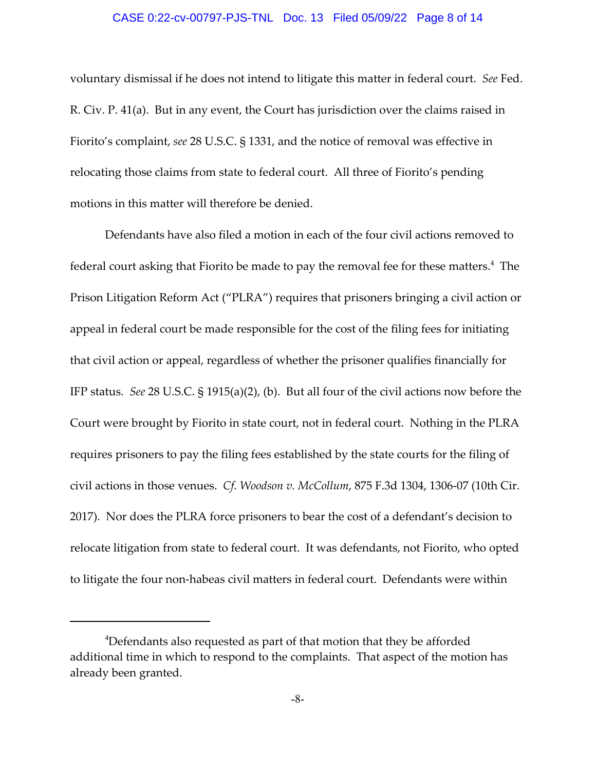### CASE 0:22-cv-00797-PJS-TNL Doc. 13 Filed 05/09/22 Page 8 of 14

voluntary dismissal if he does not intend to litigate this matter in federal court. *See* Fed. R. Civ. P. 41(a). But in any event, the Court has jurisdiction over the claims raised in Fiorito's complaint, *see* 28 U.S.C. § 1331, and the notice of removal was effective in relocating those claims from state to federal court. All three of Fiorito's pending motions in this matter will therefore be denied.

Defendants have also filed a motion in each of the four civil actions removed to federal court asking that Fiorito be made to pay the removal fee for these matters. $^4\,$  The Prison Litigation Reform Act ("PLRA") requires that prisoners bringing a civil action or appeal in federal court be made responsible for the cost of the filing fees for initiating that civil action or appeal, regardless of whether the prisoner qualifies financially for IFP status. *See* 28 U.S.C. § 1915(a)(2), (b). But all four of the civil actions now before the Court were brought by Fiorito in state court, not in federal court. Nothing in the PLRA requires prisoners to pay the filing fees established by the state courts for the filing of civil actions in those venues. *Cf. Woodson v. McCollum*, 875 F.3d 1304, 1306‐07 (10th Cir. 2017). Nor does the PLRA force prisoners to bear the cost of a defendant's decision to relocate litigation from state to federal court. It was defendants, not Fiorito, who opted to litigate the four non-habeas civil matters in federal court. Defendants were within

<sup>&</sup>lt;sup>4</sup>Defendants also requested as part of that motion that they be afforded additional time in which to respond to the complaints. That aspect of the motion has already been granted.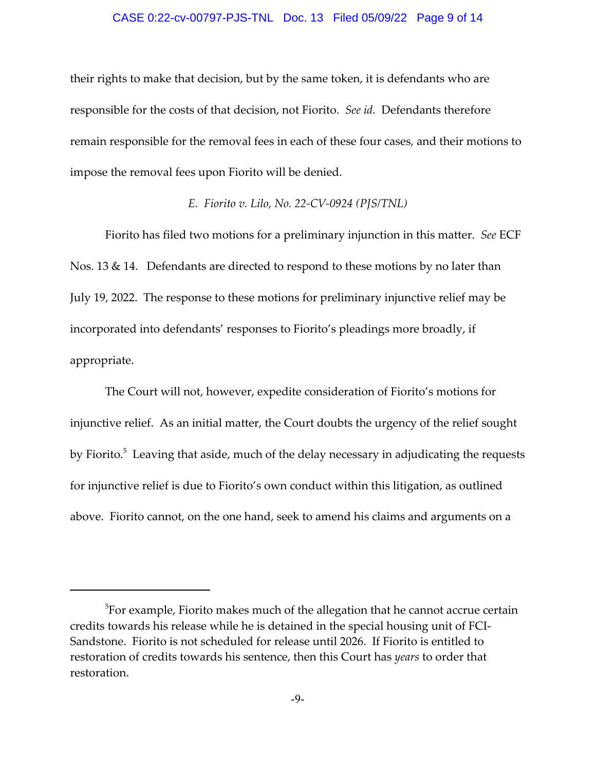## CASE 0:22-cv-00797-PJS-TNL Doc. 13 Filed 05/09/22 Page 9 of 14

their rights to make that decision, but by the same token, it is defendants who are responsible for the costs of that decision, not Fiorito. *See id.* Defendants therefore remain responsible for the removal fees in each of these four cases, and their motions to impose the removal fees upon Fiorito will be denied.

# *E. Fiorito v. Lilo, No. 22‐CV‐0924 (PJS/TNL)*

Fiorito has filed two motions for a preliminary injunction in this matter. *See* ECF Nos. 13 & 14. Defendants are directed to respond to these motions by no later than July 19, 2022. The response to these motions for preliminary injunctive relief may be incorporated into defendants' responses to Fiorito's pleadings more broadly, if appropriate.

The Court will not, however, expedite consideration of Fiorito's motions for injunctive relief. As an initial matter, the Court doubts the urgency of the relief sought by Fiorito.<sup>5</sup> Leaving that aside, much of the delay necessary in adjudicating the requests for injunctive relief is due to Fiorito's own conduct within this litigation, as outlined above. Fiorito cannot, on the one hand, seek to amend his claims and arguments on a

 $^5$ For example, Fiorito makes much of the allegation that he cannot accrue certain credits towards his release while he is detained in the special housing unit of FCI‐ Sandstone. Fiorito is not scheduled for release until 2026. If Fiorito is entitled to restoration of credits towards his sentence, then this Court has *years* to order that restoration.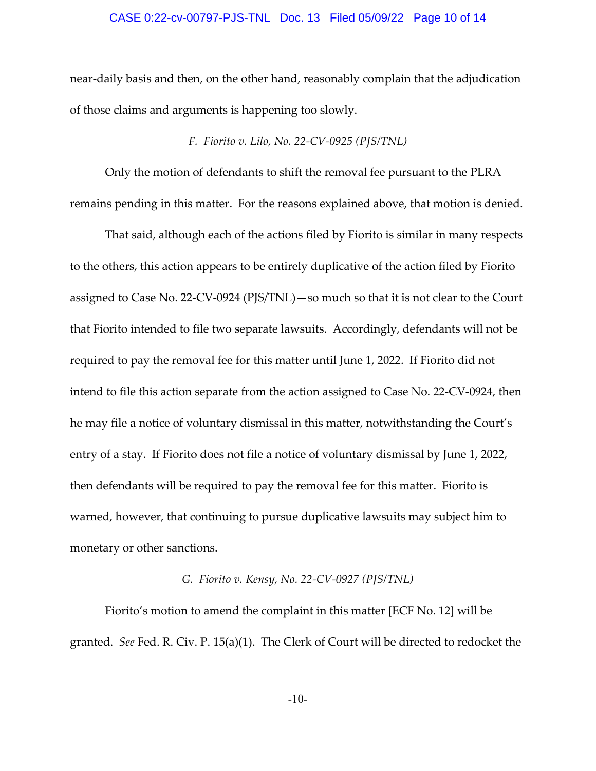## CASE 0:22-cv-00797-PJS-TNL Doc. 13 Filed 05/09/22 Page 10 of 14

near‐daily basis and then, on the other hand, reasonably complain that the adjudication of those claims and arguments is happening too slowly.

## *F. Fiorito v. Lilo, No. 22‐CV‐0925 (PJS/TNL)*

Only the motion of defendants to shift the removal fee pursuant to the PLRA remains pending in this matter. For the reasons explained above, that motion is denied.

That said, although each of the actions filed by Fiorito is similar in many respects to the others, this action appears to be entirely duplicative of the action filed by Fiorito assigned to Case No. 22‐CV‐0924 (PJS/TNL)—so much so that it is not clear to the Court that Fiorito intended to file two separate lawsuits. Accordingly, defendants will not be required to pay the removal fee for this matter until June 1, 2022. If Fiorito did not intend to file this action separate from the action assigned to Case No. 22‐CV‐0924, then he may file a notice of voluntary dismissal in this matter, notwithstanding the Court's entry of a stay. If Fiorito does not file a notice of voluntary dismissal by June 1, 2022, then defendants will be required to pay the removal fee for this matter. Fiorito is warned, however, that continuing to pursue duplicative lawsuits may subject him to monetary or other sanctions.

# *G. Fiorito v. Kensy, No. 22‐CV‐0927 (PJS/TNL)*

Fiorito's motion to amend the complaint in this matter [ECF No. 12] will be granted. *See* Fed. R. Civ. P. 15(a)(1). The Clerk of Court will be directed to redocket the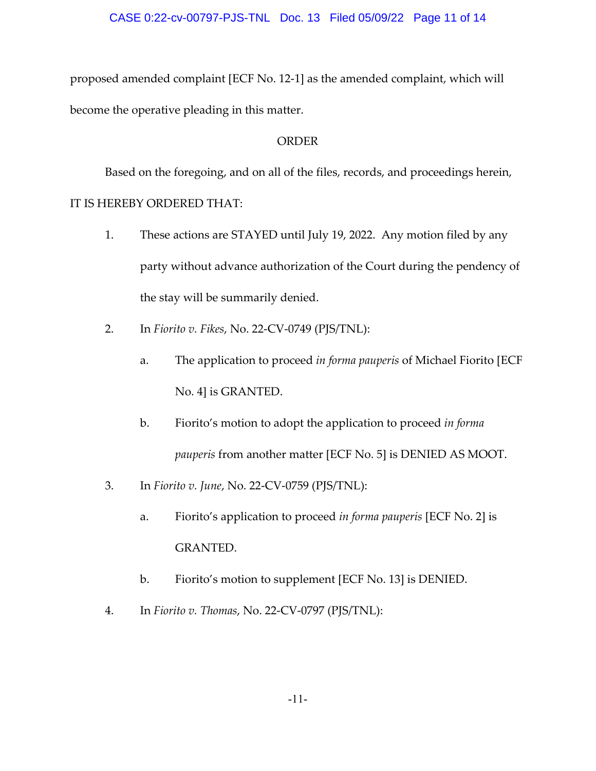proposed amended complaint [ECF No. 12‐1] as the amended complaint, which will become the operative pleading in this matter.

# ORDER

Based on the foregoing, and on all of the files, records, and proceedings herein, IT IS HEREBY ORDERED THAT:

- 1. These actions are STAYED until July 19, 2022. Any motion filed by any party without advance authorization of the Court during the pendency of the stay will be summarily denied.
- 2. In *Fiorito v. Fikes*, No. 22‐CV‐0749 (PJS/TNL):
	- a. The application to proceed *in forma pauperis* of Michael Fiorito [ECF No. 4] is GRANTED.
	- b. Fiorito's motion to adopt the application to proceed *in forma pauperis* from another matter [ECF No. 5] is DENIED AS MOOT.
- 3. In *Fiorito v. June*, No. 22‐CV‐0759 (PJS/TNL):
	- a. Fiorito's application to proceed *in forma pauperis* [ECF No. 2] is GRANTED.
	- b. Fiorito's motion to supplement [ECF No. 13] is DENIED.
- 4. In *Fiorito v. Thomas*, No. 22‐CV‐0797 (PJS/TNL):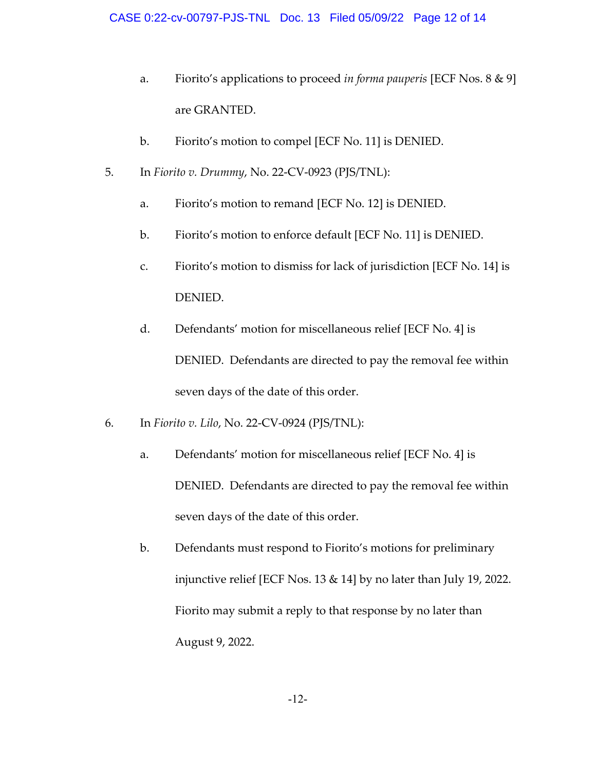- a. Fiorito's applications to proceed *in forma pauperis* [ECF Nos. 8 & 9] are GRANTED.
- b. Fiorito's motion to compel [ECF No. 11] is DENIED.
- 5. In *Fiorito v. Drummy*, No. 22‐CV‐0923 (PJS/TNL):
	- a. Fiorito's motion to remand [ECF No. 12] is DENIED.
	- b. Fiorito's motion to enforce default [ECF No. 11] is DENIED.
	- c. Fiorito's motion to dismiss for lack of jurisdiction [ECF No. 14] is DENIED.
	- d. Defendants' motion for miscellaneous relief [ECF No. 4] is DENIED. Defendants are directed to pay the removal fee within seven days of the date of this order.
- 6. In *Fiorito v. Lilo*, No. 22‐CV‐0924 (PJS/TNL):
	- a. Defendants' motion for miscellaneous relief [ECF No. 4] is DENIED. Defendants are directed to pay the removal fee within seven days of the date of this order.
	- b. Defendants must respond to Fiorito's motions for preliminary injunctive relief [ECF Nos. 13 & 14] by no later than July 19, 2022. Fiorito may submit a reply to that response by no later than August 9, 2022.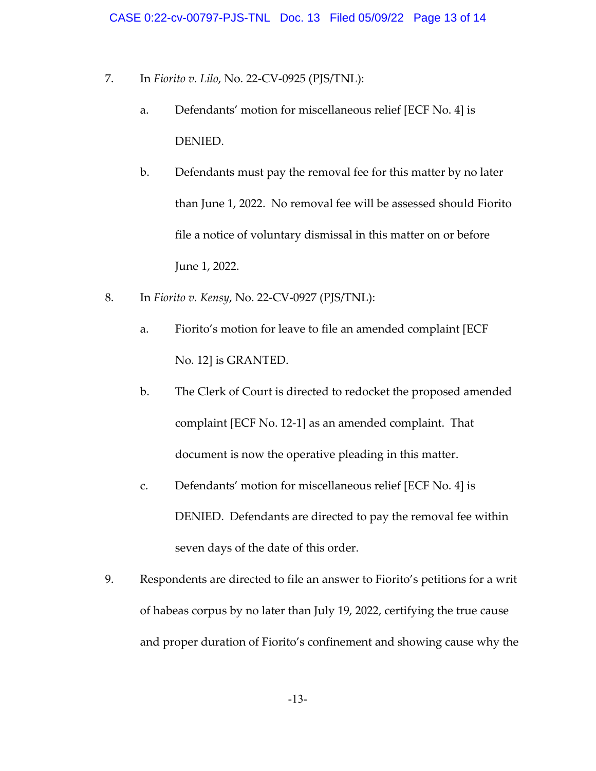- 7. In *Fiorito v. Lilo*, No. 22‐CV‐0925 (PJS/TNL):
	- a. Defendants' motion for miscellaneous relief [ECF No. 4] is DENIED.
	- b. Defendants must pay the removal fee for this matter by no later than June 1, 2022. No removal fee will be assessed should Fiorito file a notice of voluntary dismissal in this matter on or before June 1, 2022.
- 8. In *Fiorito v. Kensy*, No. 22‐CV‐0927 (PJS/TNL):
	- a. Fiorito's motion for leave to file an amended complaint [ECF No. 12] is GRANTED.
	- b. The Clerk of Court is directed to redocket the proposed amended complaint [ECF No. 12‐1] as an amended complaint. That document is now the operative pleading in this matter.
	- c. Defendants' motion for miscellaneous relief [ECF No. 4] is DENIED. Defendants are directed to pay the removal fee within seven days of the date of this order.
- 9. Respondents are directed to file an answer to Fiorito's petitions for a writ of habeas corpus by no later than July 19, 2022, certifying the true cause and proper duration of Fiorito's confinement and showing cause why the